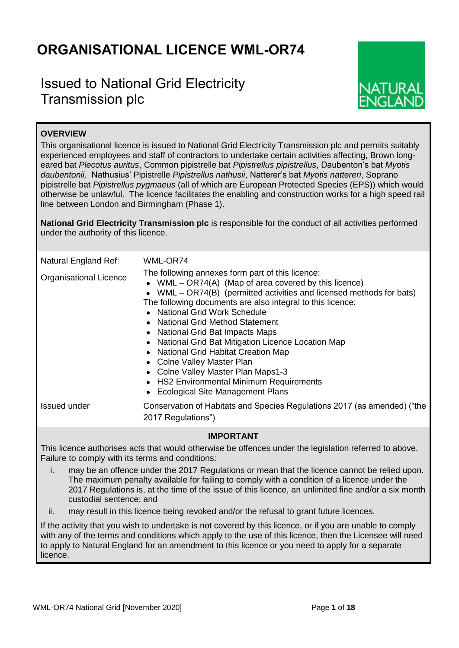# **ORGANISATIONAL LICENCE WML-OR74**

## Issued to National Grid Electricity Transmission plc



## **OVERVIEW**

This organisational licence is issued to National Grid Electricity Transmission plc and permits suitably experienced employees and staff of contractors to undertake certain activities affecting, Brown longeared bat *Plecotus auritus*, Common pipistrelle bat *Pipistrellus pipistrellus*, Daubenton's bat *Myotis daubentonii,* Nathusius' Pipistrelle *Pipistrellus nathusii*, Natterer's bat *Myotis nattereri*, Soprano pipistrelle bat *Pipistrellus pygmaeus* (all of which are European Protected Species (EPS)) which would otherwise be unlawful. The licence facilitates the enabling and construction works for a high speed rail line between London and Birmingham (Phase 1).

**National Grid Electricity Transmission plc** is responsible for the conduct of all activities performed under the authority of this licence.

| Natural England Ref:<br><b>Organisational Licence</b> | WML-OR74<br>The following annexes form part of this licence:<br>• WML $-$ OR74(A) (Map of area covered by this licence)<br>• WML - OR74(B) (permitted activities and licensed methods for bats)<br>The following documents are also integral to this licence:<br>• National Grid Work Schedule<br>• National Grid Method Statement<br>• National Grid Bat Impacts Maps<br>• National Grid Bat Mitigation Licence Location Map<br>• National Grid Habitat Creation Map<br>• Colne Valley Master Plan<br>• Colne Valley Master Plan Maps1-3<br>• HS2 Environmental Minimum Requirements<br><b>Ecological Site Management Plans</b> |
|-------------------------------------------------------|----------------------------------------------------------------------------------------------------------------------------------------------------------------------------------------------------------------------------------------------------------------------------------------------------------------------------------------------------------------------------------------------------------------------------------------------------------------------------------------------------------------------------------------------------------------------------------------------------------------------------------|
| Issued under                                          | Conservation of Habitats and Species Regulations 2017 (as amended) ("the<br>2017 Regulations")                                                                                                                                                                                                                                                                                                                                                                                                                                                                                                                                   |
|                                                       | <b>IMDODTANT</b>                                                                                                                                                                                                                                                                                                                                                                                                                                                                                                                                                                                                                 |

## **IMPORTANT**

This licence authorises acts that would otherwise be offences under the legislation referred to above. Failure to comply with its terms and conditions:

- i. may be an offence under the 2017 Regulations or mean that the licence cannot be relied upon. The maximum penalty available for failing to comply with a condition of a licence under the 2017 Regulations is, at the time of the issue of this licence, an unlimited fine and/or a six month custodial sentence; and
- ii. may result in this licence being revoked and/or the refusal to grant future licences.

If the activity that you wish to undertake is not covered by this licence, or if you are unable to comply with any of the terms and conditions which apply to the use of this licence, then the Licensee will need to apply to Natural England for an amendment to this licence or you need to apply for a separate licence.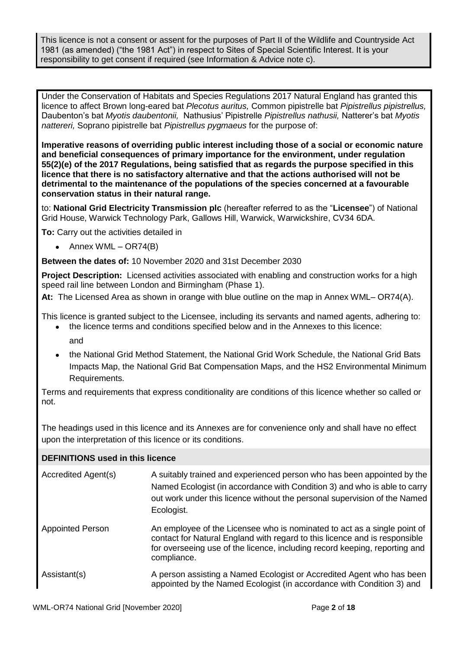This licence is not a consent or assent for the purposes of Part II of the Wildlife and Countryside Act 1981 (as amended) ("the 1981 Act") in respect to Sites of Special Scientific Interest. It is your responsibility to get consent if required (see Information & Advice note c).

Under the Conservation of Habitats and Species Regulations 2017 Natural England has granted this licence to affect Brown long-eared bat *Plecotus auritus,* Common pipistrelle bat *Pipistrellus pipistrellus,*  Daubenton's bat *Myotis daubentonii,* Nathusius' Pipistrelle *Pipistrellus nathusii,* Natterer's bat *Myotis nattereri,* Soprano pipistrelle bat *Pipistrellus pygmaeus* for the purpose of:

**Imperative reasons of overriding public interest including those of a social or economic nature and beneficial consequences of primary importance for the environment, under regulation 55(2)(e) of the 2017 Regulations, being satisfied that as regards the purpose specified in this licence that there is no satisfactory alternative and that the actions authorised will not be detrimental to the maintenance of the populations of the species concerned at a favourable conservation status in their natural range.**

to: **National Grid Electricity Transmission plc** (hereafter referred to as the "**Licensee**") of National Grid House, Warwick Technology Park, Gallows Hill, Warwick, Warwickshire, CV34 6DA.

**To:** Carry out the activities detailed in

• Annex WML –  $OR74(B)$ 

**Between the dates of:** 10 November 2020 and 31st December 2030

**Project Description:** Licensed activities associated with enabling and construction works for a high speed rail line between London and Birmingham (Phase 1).

**At:** The Licensed Area as shown in orange with blue outline on the map in Annex WML– OR74(A).

This licence is granted subject to the Licensee, including its servants and named agents, adhering to:

- the licence terms and conditions specified below and in the Annexes to this licence: and
- the National Grid Method Statement, the National Grid Work Schedule, the National Grid Bats Impacts Map, the National Grid Bat Compensation Maps, and the HS2 Environmental Minimum Requirements.

Terms and requirements that express conditionality are conditions of this licence whether so called or not.

The headings used in this licence and its Annexes are for convenience only and shall have no effect upon the interpretation of this licence or its conditions.

| <b>DEFINITIONS</b> used in this licence |                                                                                                                                                                                                                                                     |
|-----------------------------------------|-----------------------------------------------------------------------------------------------------------------------------------------------------------------------------------------------------------------------------------------------------|
| Accredited Agent(s)                     | A suitably trained and experienced person who has been appointed by the<br>Named Ecologist (in accordance with Condition 3) and who is able to carry<br>out work under this licence without the personal supervision of the Named<br>Ecologist.     |
| <b>Appointed Person</b>                 | An employee of the Licensee who is nominated to act as a single point of<br>contact for Natural England with regard to this licence and is responsible<br>for overseeing use of the licence, including record keeping, reporting and<br>compliance. |
| Assistant(s)                            | A person assisting a Named Ecologist or Accredited Agent who has been<br>appointed by the Named Ecologist (in accordance with Condition 3) and                                                                                                      |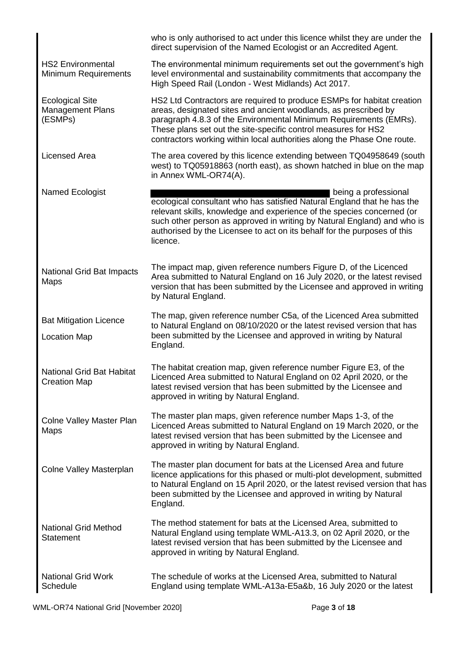|                                                              | who is only authorised to act under this licence whilst they are under the<br>direct supervision of the Named Ecologist or an Accredited Agent.                                                                                                                                                                                                             |
|--------------------------------------------------------------|-------------------------------------------------------------------------------------------------------------------------------------------------------------------------------------------------------------------------------------------------------------------------------------------------------------------------------------------------------------|
| <b>HS2 Environmental</b><br><b>Minimum Requirements</b>      | The environmental minimum requirements set out the government's high<br>level environmental and sustainability commitments that accompany the<br>High Speed Rail (London - West Midlands) Act 2017.                                                                                                                                                         |
| <b>Ecological Site</b><br><b>Management Plans</b><br>(ESMPs) | HS2 Ltd Contractors are required to produce ESMPs for habitat creation<br>areas, designated sites and ancient woodlands, as prescribed by<br>paragraph 4.8.3 of the Environmental Minimum Requirements (EMRs).<br>These plans set out the site-specific control measures for HS2<br>contractors working within local authorities along the Phase One route. |
| Licensed Area                                                | The area covered by this licence extending between TQ04958649 (south<br>west) to TQ05918863 (north east), as shown hatched in blue on the map<br>in Annex WML-OR74(A).                                                                                                                                                                                      |
| Named Ecologist                                              | being a professional<br>ecological consultant who has satisfied Natural England that he has the<br>relevant skills, knowledge and experience of the species concerned (or<br>such other person as approved in writing by Natural England) and who is<br>authorised by the Licensee to act on its behalf for the purposes of this<br>licence.                |
| <b>National Grid Bat Impacts</b><br>Maps                     | The impact map, given reference numbers Figure D, of the Licenced<br>Area submitted to Natural England on 16 July 2020, or the latest revised<br>version that has been submitted by the Licensee and approved in writing<br>by Natural England.                                                                                                             |
| <b>Bat Mitigation Licence</b><br><b>Location Map</b>         | The map, given reference number C5a, of the Licenced Area submitted<br>to Natural England on 08/10/2020 or the latest revised version that has<br>been submitted by the Licensee and approved in writing by Natural<br>England.                                                                                                                             |
| <b>National Grid Bat Habitat</b><br><b>Creation Map</b>      | The habitat creation map, given reference number Figure E3, of the<br>Licenced Area submitted to Natural England on 02 April 2020, or the<br>latest revised version that has been submitted by the Licensee and<br>approved in writing by Natural England.                                                                                                  |
| <b>Colne Valley Master Plan</b><br>Maps                      | The master plan maps, given reference number Maps 1-3, of the<br>Licenced Areas submitted to Natural England on 19 March 2020, or the<br>latest revised version that has been submitted by the Licensee and<br>approved in writing by Natural England.                                                                                                      |
| <b>Colne Valley Masterplan</b>                               | The master plan document for bats at the Licensed Area and future<br>licence applications for this phased or multi-plot development, submitted<br>to Natural England on 15 April 2020, or the latest revised version that has<br>been submitted by the Licensee and approved in writing by Natural<br>England.                                              |
| <b>National Grid Method</b><br><b>Statement</b>              | The method statement for bats at the Licensed Area, submitted to<br>Natural England using template WML-A13.3, on 02 April 2020, or the<br>latest revised version that has been submitted by the Licensee and<br>approved in writing by Natural England.                                                                                                     |
| <b>National Grid Work</b><br>Schedule                        | The schedule of works at the Licensed Area, submitted to Natural<br>England using template WML-A13a-E5a&b, 16 July 2020 or the latest                                                                                                                                                                                                                       |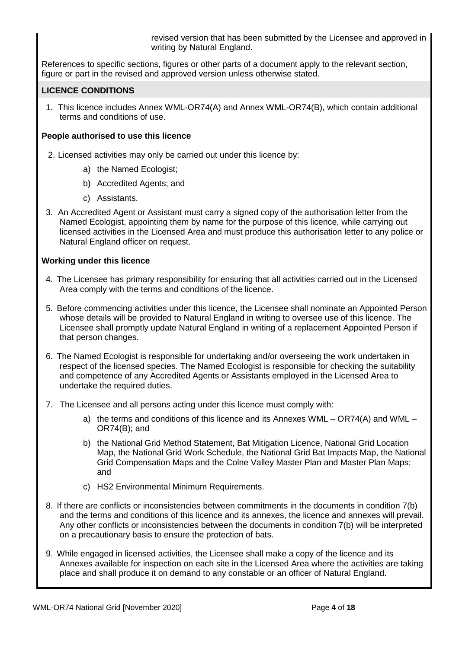revised version that has been submitted by the Licensee and approved in writing by Natural England.

References to specific sections, figures or other parts of a document apply to the relevant section, figure or part in the revised and approved version unless otherwise stated.

## **LICENCE CONDITIONS**

1. This licence includes Annex WML-OR74(A) and Annex WML-OR74(B), which contain additional terms and conditions of use.

## **People authorised to use this licence**

- 2. Licensed activities may only be carried out under this licence by:
	- a) the Named Ecologist;
	- b) Accredited Agents; and
	- c) Assistants.
- 3. An Accredited Agent or Assistant must carry a signed copy of the authorisation letter from the Named Ecologist, appointing them by name for the purpose of this licence, while carrying out licensed activities in the Licensed Area and must produce this authorisation letter to any police or Natural England officer on request.

## **Working under this licence**

- 4. The Licensee has primary responsibility for ensuring that all activities carried out in the Licensed Area comply with the terms and conditions of the licence.
- 5. Before commencing activities under this licence, the Licensee shall nominate an Appointed Person whose details will be provided to Natural England in writing to oversee use of this licence. The Licensee shall promptly update Natural England in writing of a replacement Appointed Person if that person changes.
- 6. The Named Ecologist is responsible for undertaking and/or overseeing the work undertaken in respect of the licensed species. The Named Ecologist is responsible for checking the suitability and competence of any Accredited Agents or Assistants employed in the Licensed Area to undertake the required duties.
- 7. The Licensee and all persons acting under this licence must comply with:
	- a) the terms and conditions of this licence and its Annexes WML OR74(A) and WML OR74(B); and
	- b) the National Grid Method Statement, Bat Mitigation Licence, National Grid Location Map, the National Grid Work Schedule, the National Grid Bat Impacts Map, the National Grid Compensation Maps and the Colne Valley Master Plan and Master Plan Maps; and
	- c) HS2 Environmental Minimum Requirements.
- 8. If there are conflicts or inconsistencies between commitments in the documents in condition 7(b) and the terms and conditions of this licence and its annexes, the licence and annexes will prevail. Any other conflicts or inconsistencies between the documents in condition 7(b) will be interpreted on a precautionary basis to ensure the protection of bats.
- 9. While engaged in licensed activities, the Licensee shall make a copy of the licence and its Annexes available for inspection on each site in the Licensed Area where the activities are taking place and shall produce it on demand to any constable or an officer of Natural England.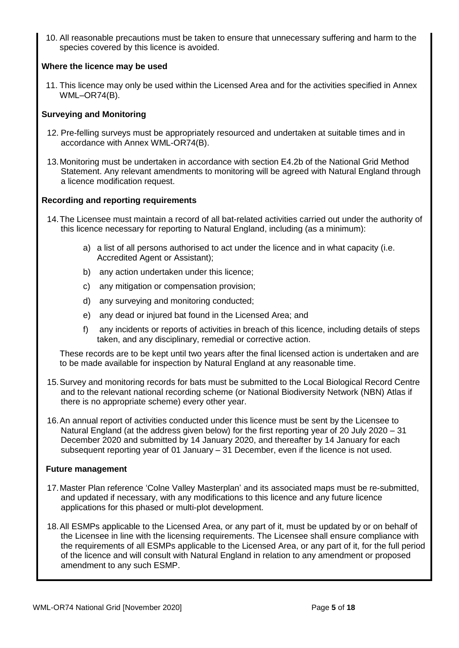10. All reasonable precautions must be taken to ensure that unnecessary suffering and harm to the species covered by this licence is avoided.

## **Where the licence may be used**

11. This licence may only be used within the Licensed Area and for the activities specified in Annex WML–OR74(B).

## **Surveying and Monitoring**

- 12. Pre-felling surveys must be appropriately resourced and undertaken at suitable times and in accordance with Annex WML-OR74(B).
- 13.Monitoring must be undertaken in accordance with section E4.2b of the National Grid Method Statement. Any relevant amendments to monitoring will be agreed with Natural England through a licence modification request.

## **Recording and reporting requirements**

- 14.The Licensee must maintain a record of all bat-related activities carried out under the authority of this licence necessary for reporting to Natural England, including (as a minimum):
	- a) a list of all persons authorised to act under the licence and in what capacity (i.e. Accredited Agent or Assistant);
	- b) any action undertaken under this licence;
	- c) any mitigation or compensation provision;
	- d) any surveying and monitoring conducted;
	- e) any dead or injured bat found in the Licensed Area; and
	- f) any incidents or reports of activities in breach of this licence, including details of steps taken, and any disciplinary, remedial or corrective action.

These records are to be kept until two years after the final licensed action is undertaken and are to be made available for inspection by Natural England at any reasonable time.

- 15.Survey and monitoring records for bats must be submitted to the Local Biological Record Centre and to the relevant national recording scheme (or National Biodiversity Network (NBN) Atlas if there is no appropriate scheme) every other year.
- 16.An annual report of activities conducted under this licence must be sent by the Licensee to Natural England (at the address given below) for the first reporting year of 20 July 2020 – 31 December 2020 and submitted by 14 January 2020, and thereafter by 14 January for each subsequent reporting year of 01 January – 31 December, even if the licence is not used.

#### **Future management**

- 17.Master Plan reference 'Colne Valley Masterplan' and its associated maps must be re-submitted, and updated if necessary, with any modifications to this licence and any future licence applications for this phased or multi-plot development.
- 18.All ESMPs applicable to the Licensed Area, or any part of it, must be updated by or on behalf of the Licensee in line with the licensing requirements. The Licensee shall ensure compliance with the requirements of all ESMPs applicable to the Licensed Area, or any part of it, for the full period of the licence and will consult with Natural England in relation to any amendment or proposed amendment to any such ESMP.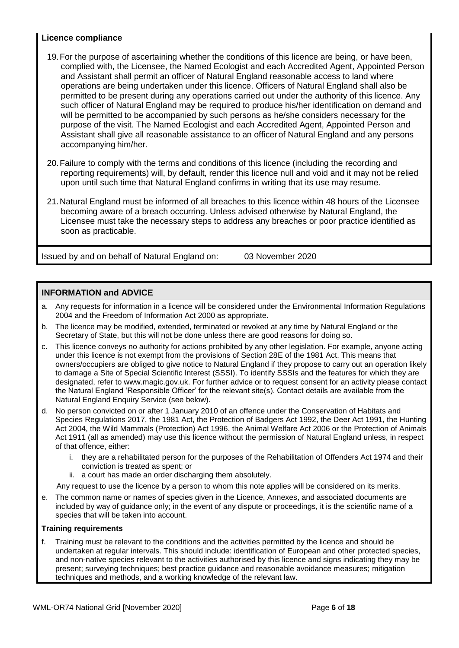## **Licence compliance**

- 19.For the purpose of ascertaining whether the conditions of this licence are being, or have been, complied with, the Licensee, the Named Ecologist and each Accredited Agent, Appointed Person and Assistant shall permit an officer of Natural England reasonable access to land where operations are being undertaken under this licence. Officers of Natural England shall also be permitted to be present during any operations carried out under the authority of this licence. Any such officer of Natural England may be required to produce his/her identification on demand and will be permitted to be accompanied by such persons as he/she considers necessary for the purpose of the visit. The Named Ecologist and each Accredited Agent, Appointed Person and Assistant shall give all reasonable assistance to an officerof Natural England and any persons accompanying him/her.
- 20.Failure to comply with the terms and conditions of this licence (including the recording and reporting requirements) will, by default, render this licence null and void and it may not be relied upon until such time that Natural England confirms in writing that its use may resume.
- 21.Natural England must be informed of all breaches to this licence within 48 hours of the Licensee becoming aware of a breach occurring. Unless advised otherwise by Natural England, the Licensee must take the necessary steps to address any breaches or poor practice identified as soon as practicable.

Issued by and on behalf of Natural England on: 03 November 2020

## **INFORMATION and ADVICE**

- a. Any requests for information in a licence will be considered under the Environmental Information Regulations 2004 and the Freedom of Information Act 2000 as appropriate.
- b. The licence may be modified, extended, terminated or revoked at any time by Natural England or the Secretary of State, but this will not be done unless there are good reasons for doing so.
- c. This licence conveys no authority for actions prohibited by any other legislation. For example, anyone acting under this licence is not exempt from the provisions of Section 28E of the 1981 Act. This means that owners/occupiers are obliged to give notice to Natural England if they propose to carry out an operation likely to damage a Site of Special Scientific Interest (SSSI). To identify SSSIs and the features for which they are designated, refer to www.magic.gov.uk. For further advice or to request consent for an activity please contact the Natural England 'Responsible Officer' for the relevant site(s). Contact details are available from the Natural England Enquiry Service (see below).
- d. No person convicted on or after 1 January 2010 of an offence under the Conservation of Habitats and Species Regulations 2017, the 1981 Act, the Protection of Badgers Act 1992, the Deer Act 1991, the Hunting Act 2004, the Wild Mammals (Protection) Act 1996, the Animal Welfare Act 2006 or the Protection of Animals Act 1911 (all as amended) may use this licence without the permission of Natural England unless, in respect of that offence, either:
	- i. they are a rehabilitated person for the purposes of the Rehabilitation of Offenders Act 1974 and their conviction is treated as spent; or
	- ii. a court has made an order discharging them absolutely.

Any request to use the licence by a person to whom this note applies will be considered on its merits.

e. The common name or names of species given in the Licence, Annexes, and associated documents are included by way of guidance only; in the event of any dispute or proceedings, it is the scientific name of a species that will be taken into account.

#### **Training requirements**

f. Training must be relevant to the conditions and the activities permitted by the licence and should be undertaken at regular intervals. This should include: identification of European and other protected species, and non-native species relevant to the activities authorised by this licence and signs indicating they may be present; surveying techniques; best practice guidance and reasonable avoidance measures; mitigation techniques and methods, and a working knowledge of the relevant law.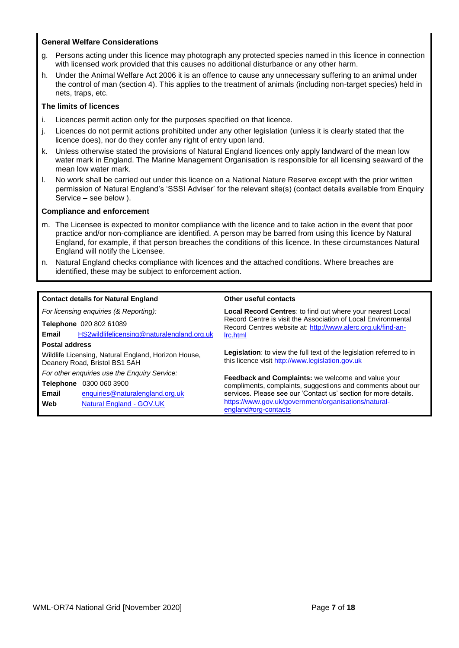#### **General Welfare Considerations**

- g. Persons acting under this licence may photograph any protected species named in this licence in connection with licensed work provided that this causes no additional disturbance or any other harm.
- h. Under the Animal Welfare Act 2006 it is an offence to cause any unnecessary suffering to an animal under the control of man (section 4). This applies to the treatment of animals (including non-target species) held in nets, traps, etc.

#### **The limits of licences**

- i. Licences permit action only for the purposes specified on that licence.
- j. Licences do not permit actions prohibited under any other legislation (unless it is clearly stated that the licence does), nor do they confer any right of entry upon land.
- k. Unless otherwise stated the provisions of Natural England licences only apply landward of the mean low water mark in England. The Marine Management Organisation is responsible for all licensing seaward of the mean low water mark.
- l. No work shall be carried out under this licence on a National Nature Reserve except with the prior written permission of Natural England's 'SSSI Adviser' for the relevant site(s) (contact details available from Enquiry Service – see below ).

#### **Compliance and enforcement**

- m. The Licensee is expected to monitor compliance with the licence and to take action in the event that poor practice and/or non-compliance are identified. A person may be barred from using this licence by Natural England, for example, if that person breaches the conditions of this licence. In these circumstances Natural England will notify the Licensee.
- n. Natural England checks compliance with licences and the attached conditions. Where breaches are identified, these may be subject to enforcement action.

| <b>Contact details for Natural England</b>                                           |                                            | Other useful contacts                                                                                                           |  |  |  |  |
|--------------------------------------------------------------------------------------|--------------------------------------------|---------------------------------------------------------------------------------------------------------------------------------|--|--|--|--|
| For licensing enquiries (& Reporting):                                               |                                            | Local Record Centres: to find out where your nearest Local                                                                      |  |  |  |  |
| Telephone 020 802 61089                                                              |                                            | Record Centre is visit the Association of Local Environmental<br>Record Centres website at: http://www.alerc.org.uk/find-an-    |  |  |  |  |
| Email                                                                                | HS2wildlifelicensing@naturalengland.org.uk | Irc.html                                                                                                                        |  |  |  |  |
| <b>Postal address</b>                                                                |                                            |                                                                                                                                 |  |  |  |  |
| Wildlife Licensing, Natural England, Horizon House,<br>Deanery Road, Bristol BS1 5AH |                                            | <b>Legislation:</b> to view the full text of the legislation referred to in<br>this licence visit http://www.legislation.gov.uk |  |  |  |  |
| For other enquiries use the Enquiry Service:                                         |                                            |                                                                                                                                 |  |  |  |  |
| <b>Telephone</b><br>0300 060 3900                                                    |                                            | <b>Feedback and Complaints:</b> we welcome and value your<br>compliments, complaints, suggestions and comments about our        |  |  |  |  |
| Email                                                                                | enquiries@naturalengland.org.uk            | services. Please see our 'Contact us' section for more details.                                                                 |  |  |  |  |
| Web                                                                                  | Natural England - GOV.UK                   | https://www.gov.uk/government/organisations/natural-<br>england#org-contacts                                                    |  |  |  |  |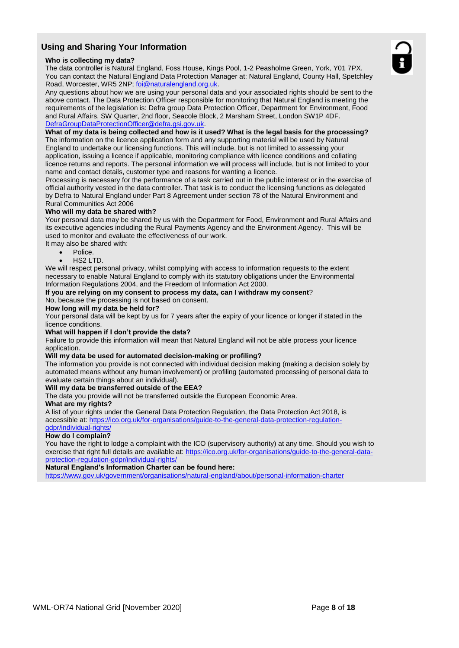## **Using and Sharing Your Information**

#### **Who is collecting my data?**

The data controller is Natural England, Foss House, Kings Pool, 1-2 Peasholme Green, York, Y01 7PX. You can contact the Natural England Data Protection Manager at: Natural England, County Hall, Spetchley Road, Worcester, WR5 2NP; foi@naturalengland.org.uk.

Any questions about how we are using your personal data and your associated rights should be sent to the above contact. The Data Protection Officer responsible for monitoring that Natural England is meeting the requirements of the legislation is: Defra group Data Protection Officer, Department for Environment, Food and Rural Affairs, SW Quarter, 2nd floor, Seacole Block, 2 Marsham Street, London SW1P 4DF. DefraGroupDataProtectionOfficer@defra.gsi.gov.uk.

#### **What of my data is being collected and how is it used? What is the legal basis for the processing?**

The information on the licence application form and any supporting material will be used by Natural England to undertake our licensing functions. This will include, but is not limited to assessing your application, issuing a licence if applicable, monitoring compliance with licence conditions and collating licence returns and reports. The personal information we will process will include, but is not limited to your name and contact details, customer type and reasons for wanting a licence.

Processing is necessary for the performance of a task carried out in the public interest or in the exercise of official authority vested in the data controller. That task is to conduct the licensing functions as delegated by Defra to Natural England under Part 8 Agreement under section 78 of the Natural Environment and Rural Communities Act 2006

#### **Who will my data be shared with?**

Your personal data may be shared by us with the Department for Food, Environment and Rural Affairs and its executive agencies including the Rural Payments Agency and the Environment Agency. This will be used to monitor and evaluate the effectiveness of our work.

- It may also be shared with:
	- Police.
	- HS2 LTD.

We will respect personal privacy, whilst complying with access to information requests to the extent necessary to enable Natural England to comply with its statutory obligations under the Environmental Information Regulations 2004, and the Freedom of Information Act 2000.

#### **If you are relying on my consent to process my data, can I withdraw my consent**? No, because the processing is not based on consent.

**How long will my data be held for?**

Your personal data will be kept by us for 7 years after the expiry of your licence or longer if stated in the licence conditions.

#### **What will happen if I don't provide the data?**

Failure to provide this information will mean that Natural England will not be able process your licence application.

#### **Will my data be used for automated decision-making or profiling?**

The information you provide is not connected with individual decision making (making a decision solely by automated means without any human involvement) or profiling (automated processing of personal data to evaluate certain things about an individual).

#### **Will my data be transferred outside of the EEA?**

The data you provide will not be transferred outside the European Economic Area.

#### **What are my rights?**

A list of your rights under the General Data Protection Regulation, the Data Protection Act 2018, is accessible at: https://ico.org.uk/for-organisations/guide-to-the-general-data-protection-regulationgdpr/individual-rights/

#### **How do I complain?**

You have the right to lodge a complaint with the ICO (supervisory authority) at any time. Should you wish to exercise that right full details are available at: https://ico.org.uk/for-organisations/quide-to-the-general-dataprotection-regulation-gdpr/individual-rights/

#### **Natural England's Information Charter can be found here:**

https://www.gov.uk/government/organisations/natural-england/about/personal-information-charter

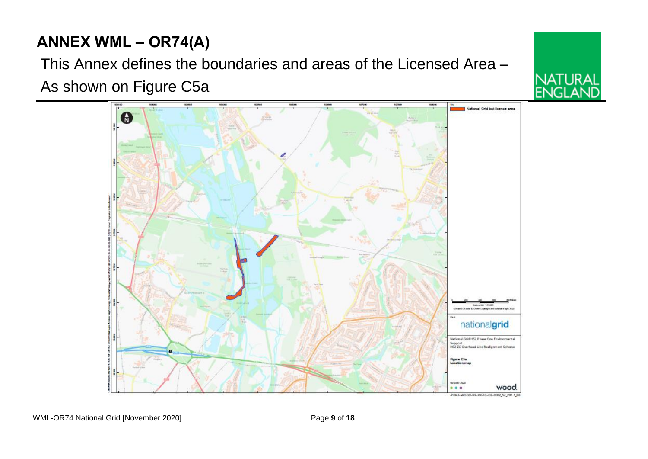# **ANNEX WML – OR74(A)**

This Annex defines the boundaries and areas of the Licensed Area – As shown on Figure C5a



IATI IRAI

ا 1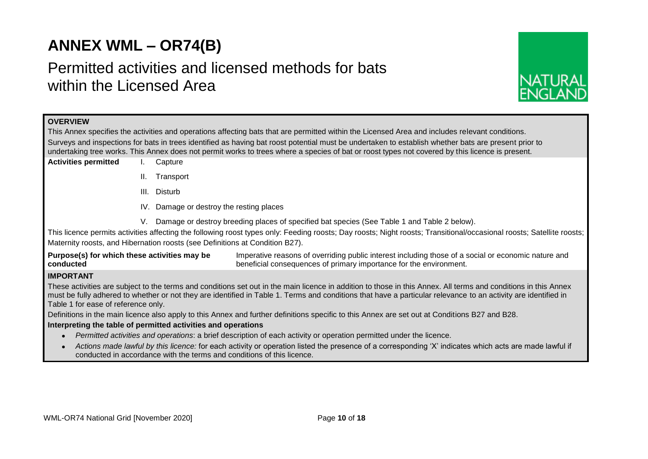# **ANNEX WML – OR74(B)**

# Permitted activities and licensed methods for bats within the Licensed Area



## **OVERVIEW**

This Annex specifies the activities and operations affecting bats that are permitted within the Licensed Area and includes relevant conditions. Surveys and inspections for bats in trees identified as having bat roost potential must be undertaken to establish whether bats are present prior to undertaking tree works. This Annex does not permit works to trees where a species of bat or roost types not covered by this licence is present.

- **Activities permitted** I. Capture
	- II. Transport
	- III. Disturb
	- IV. Damage or destroy the resting places
	- V. Damage or destroy breeding places of specified bat species (See Table 1 and Table 2 below).

This licence permits activities affecting the following roost types only: Feeding roosts; Day roosts; Night roosts; Transitional/occasional roosts; Satellite roosts; Maternity roosts, and Hibernation roosts (see Definitions at Condition B27).

**Purpose(s) for which these activities may be conducted** Imperative reasons of overriding public interest including those of a social or economic nature and beneficial consequences of primary importance for the environment.

## **IMPORTANT**

These activities are subject to the terms and conditions set out in the main licence in addition to those in this Annex. All terms and conditions in this Annex must be fully adhered to whether or not they are identified in Table 1. Terms and conditions that have a particular relevance to an activity are identified in Table 1 for ease of reference only.

Definitions in the main licence also apply to this Annex and further definitions specific to this Annex are set out at Conditions B27 and B28.

#### **Interpreting the table of permitted activities and operations**

- *Permitted activities and operations*: a brief description of each activity or operation permitted under the licence.
- *Actions made lawful by this licence:* for each activity or operation listed the presence of a corresponding 'X' indicates which acts are made lawful if conducted in accordance with the terms and conditions of this licence.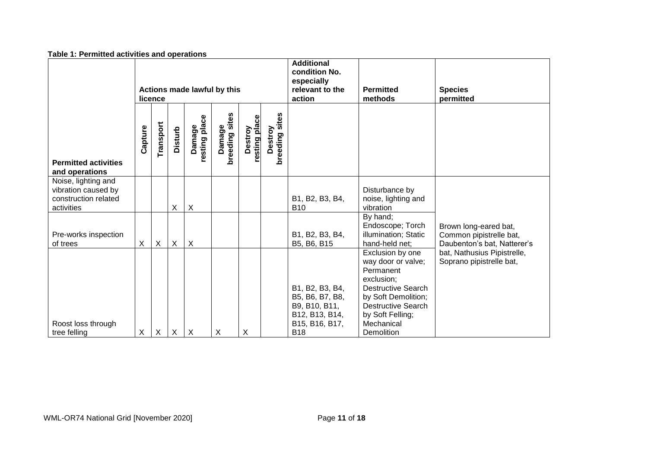| <b>Table 1. Permitted activities and operations</b>                              |                           |                           |                           |                             |                          |                          |                                     |                                                                                                       |                                                                                                                                                                                                    |                                                                                 |
|----------------------------------------------------------------------------------|---------------------------|---------------------------|---------------------------|-----------------------------|--------------------------|--------------------------|-------------------------------------|-------------------------------------------------------------------------------------------------------|----------------------------------------------------------------------------------------------------------------------------------------------------------------------------------------------------|---------------------------------------------------------------------------------|
|                                                                                  |                           | licence                   |                           | Actions made lawful by this |                          |                          |                                     | <b>Additional</b><br>condition No.<br>especially<br>relevant to the<br>action                         | <b>Permitted</b><br>methods                                                                                                                                                                        | <b>Species</b><br>permitted                                                     |
| <b>Permitted activities</b><br>and operations                                    | Capture                   | Transport                 | <b>Disturb</b>            | resting place<br>Damage     | breeding sites<br>Damage | resting place<br>Destroy | Destroy<br>aeding sites<br>breeding |                                                                                                       |                                                                                                                                                                                                    |                                                                                 |
| Noise, lighting and<br>vibration caused by<br>construction related<br>activities |                           |                           | X                         | X                           |                          |                          |                                     | B1, B2, B3, B4,<br><b>B10</b>                                                                         | Disturbance by<br>noise, lighting and<br>vibration                                                                                                                                                 |                                                                                 |
| Pre-works inspection<br>of trees                                                 | X                         | $\boldsymbol{\mathsf{X}}$ | X                         | $\pmb{\times}$              |                          |                          |                                     | B1, B2, B3, B4,<br>B5, B6, B15                                                                        | By hand;<br>Endoscope; Torch<br>illumination; Static<br>hand-held net;                                                                                                                             | Brown long-eared bat,<br>Common pipistrelle bat,<br>Daubenton's bat, Natterer's |
| Roost loss through<br>tree felling                                               | $\boldsymbol{\mathsf{X}}$ | $\times$                  | $\boldsymbol{\mathsf{X}}$ | X                           | X                        | X                        |                                     | B1, B2, B3, B4,<br>B5, B6, B7, B8,<br>B9, B10, B11,<br>B12, B13, B14,<br>B15, B16, B17,<br><b>B18</b> | Exclusion by one<br>way door or valve;<br>Permanent<br>exclusion;<br><b>Destructive Search</b><br>by Soft Demolition;<br><b>Destructive Search</b><br>by Soft Felling;<br>Mechanical<br>Demolition | bat, Nathusius Pipistrelle,<br>Soprano pipistrelle bat,                         |

#### **Table 1: Permitted activities and operations**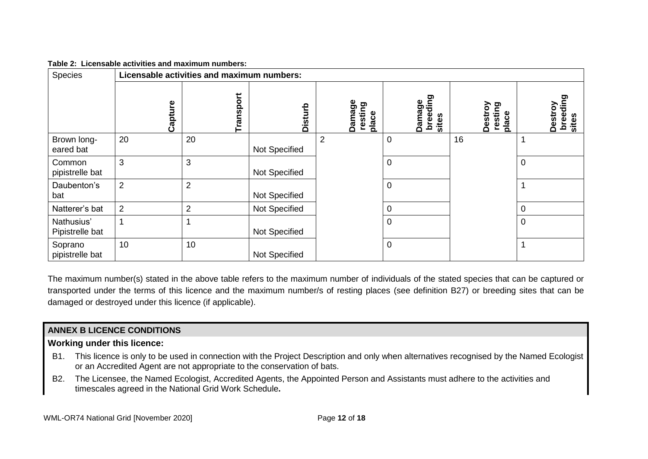| Table 2: Licensable activities and maximum numbers: |  |  |  |  |  |  |
|-----------------------------------------------------|--|--|--|--|--|--|
|-----------------------------------------------------|--|--|--|--|--|--|

| Species                       | Licensable activities and maximum numbers: |                |                |                            |                             |                             |                              |  |
|-------------------------------|--------------------------------------------|----------------|----------------|----------------------------|-----------------------------|-----------------------------|------------------------------|--|
|                               | Capture                                    | Transport      | <b>Disturb</b> | Damage<br>resting<br>place | breeding<br>Damage<br>sites | Destroy<br>resting<br>place | breeding<br>Destroy<br>sites |  |
| Brown long-<br>eared bat      | 20                                         | 20             | Not Specified  | $\overline{2}$             | $\overline{0}$              | 16                          |                              |  |
| Common<br>pipistrelle bat     | 3                                          | 3              | Not Specified  |                            | $\overline{0}$              |                             | 0                            |  |
| Daubenton's<br>bat            | $\overline{2}$                             | $\overline{2}$ | Not Specified  |                            | $\mathbf 0$                 |                             |                              |  |
| Natterer's bat                | $\overline{2}$                             | $\overline{2}$ | Not Specified  |                            | $\overline{0}$              |                             | 0                            |  |
| Nathusius'<br>Pipistrelle bat |                                            |                | Not Specified  |                            | $\mathbf 0$                 |                             | $\mathbf 0$                  |  |
| Soprano<br>pipistrelle bat    | 10                                         | 10             | Not Specified  |                            | $\overline{0}$              |                             |                              |  |

The maximum number(s) stated in the above table refers to the maximum number of individuals of the stated species that can be captured or transported under the terms of this licence and the maximum number/s of resting places (see definition B27) or breeding sites that can be damaged or destroyed under this licence (if applicable).

## **ANNEX B LICENCE CONDITIONS**

## **Working under this licence:**

- B1. This licence is only to be used in connection with the Project Description and only when alternatives recognised by the Named Ecologist or an Accredited Agent are not appropriate to the conservation of bats.
- B2. The Licensee, the Named Ecologist, Accredited Agents, the Appointed Person and Assistants must adhere to the activities and timescales agreed in the National Grid Work Schedule**.**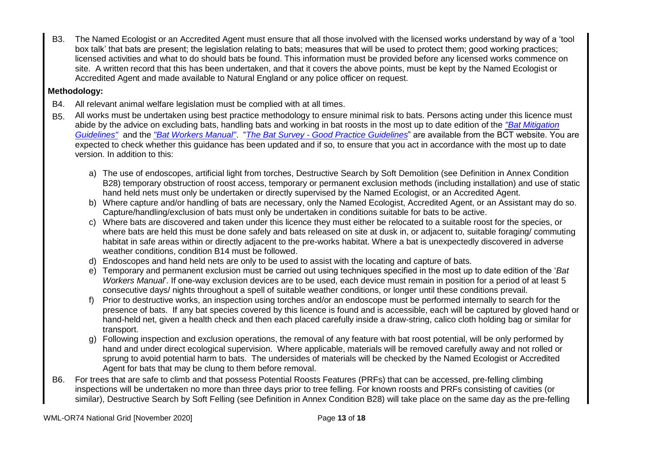B3. The Named Ecologist or an Accredited Agent must ensure that all those involved with the licensed works understand by way of a 'tool box talk' that bats are present; the legislation relating to bats; measures that will be used to protect them; good working practices; licensed activities and what to do should bats be found. This information must be provided before any licensed works commence on site. A written record that this has been undertaken, and that it covers the above points, must be kept by the Named Ecologist or Accredited Agent and made available to Natural England or any police officer on request.

## **Methodology:**

- B4. All relevant animal welfare legislation must be complied with at all times.
- B5. All works must be undertaken using best practice methodology to ensure minimal risk to bats. Persons acting under this licence must abide by the advice on excluding bats, handling bats and working in bat roosts in the most up to date edition of the *"Bat Mitigation Guidelines"* and the *"Bat Workers Manual"*. "*The Bat Survey - Good Practice Guidelines*" are available from the BCT website. You are expected to check whether this guidance has been updated and if so, to ensure that you act in accordance with the most up to date version. In addition to this:
	- a) The use of endoscopes, artificial light from torches, Destructive Search by Soft Demolition (see Definition in Annex Condition B28) temporary obstruction of roost access, temporary or permanent exclusion methods (including installation) and use of static hand held nets must only be undertaken or directly supervised by the Named Ecologist, or an Accredited Agent.
	- b) Where capture and/or handling of bats are necessary, only the Named Ecologist, Accredited Agent, or an Assistant may do so. Capture/handling/exclusion of bats must only be undertaken in conditions suitable for bats to be active.
	- c) Where bats are discovered and taken under this licence they must either be relocated to a suitable roost for the species, or where bats are held this must be done safely and bats released on site at dusk in, or adjacent to, suitable foraging/ commuting habitat in safe areas within or directly adjacent to the pre-works habitat. Where a bat is unexpectedly discovered in adverse weather conditions, condition B14 must be followed.
	- d) Endoscopes and hand held nets are only to be used to assist with the locating and capture of bats.
	- e) Temporary and permanent exclusion must be carried out using techniques specified in the most up to date edition of the '*Bat Workers Manual*'. If one-way exclusion devices are to be used, each device must remain in position for a period of at least 5 consecutive days/ nights throughout a spell of suitable weather conditions, or longer until these conditions prevail.
	- f) Prior to destructive works, an inspection using torches and/or an endoscope must be performed internally to search for the presence of bats. If any bat species covered by this licence is found and is accessible, each will be captured by gloved hand or hand-held net, given a health check and then each placed carefully inside a draw-string, calico cloth holding bag or similar for transport.
	- g) Following inspection and exclusion operations, the removal of any feature with bat roost potential, will be only performed by hand and under direct ecological supervision. Where applicable, materials will be removed carefully away and not rolled or sprung to avoid potential harm to bats. The undersides of materials will be checked by the Named Ecologist or Accredited Agent for bats that may be clung to them before removal.
- B6. For trees that are safe to climb and that possess Potential Roosts Features (PRFs) that can be accessed, pre-felling climbing inspections will be undertaken no more than three days prior to tree felling. For known roosts and PRFs consisting of cavities (or similar), Destructive Search by Soft Felling (see Definition in Annex Condition B28) will take place on the same day as the pre-felling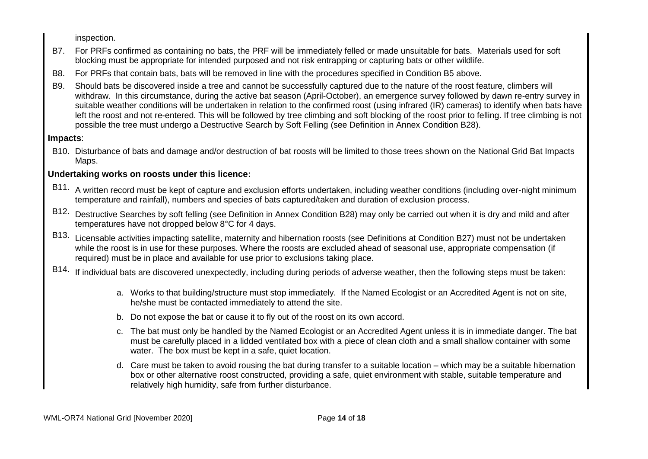inspection.

- B7. For PRFs confirmed as containing no bats, the PRF will be immediately felled or made unsuitable for bats. Materials used for soft blocking must be appropriate for intended purposed and not risk entrapping or capturing bats or other wildlife.
- B8. For PRFs that contain bats, bats will be removed in line with the procedures specified in Condition B5 above.
- B9. Should bats be discovered inside a tree and cannot be successfully captured due to the nature of the roost feature, climbers will withdraw. In this circumstance, during the active bat season (April-October), an emergence survey followed by dawn re-entry survey in suitable weather conditions will be undertaken in relation to the confirmed roost (using infrared (IR) cameras) to identify when bats have left the roost and not re-entered. This will be followed by tree climbing and soft blocking of the roost prior to felling. If tree climbing is not possible the tree must undergo a Destructive Search by Soft Felling (see Definition in Annex Condition B28).

## **Impacts**:

B10. Disturbance of bats and damage and/or destruction of bat roosts will be limited to those trees shown on the National Grid Bat Impacts Maps.

## **Undertaking works on roosts under this licence:**

- B11. A written record must be kept of capture and exclusion efforts undertaken, including weather conditions (including over-night minimum temperature and rainfall), numbers and species of bats captured/taken and duration of exclusion process.
- B12. Destructive Searches by soft felling (see Definition in Annex Condition B28) may only be carried out when it is dry and mild and after temperatures have not dropped below 8°C for 4 days.
- B13. Licensable activities impacting satellite, maternity and hibernation roosts (see Definitions at Condition B27) must not be undertaken while the roost is in use for these purposes. Where the roosts are excluded ahead of seasonal use, appropriate compensation (if required) must be in place and available for use prior to exclusions taking place.
- B14. If individual bats are discovered unexpectedly, including during periods of adverse weather, then the following steps must be taken:
	- a. Works to that building/structure must stop immediately. If the Named Ecologist or an Accredited Agent is not on site, he/she must be contacted immediately to attend the site.
	- b. Do not expose the bat or cause it to fly out of the roost on its own accord.
	- c. The bat must only be handled by the Named Ecologist or an Accredited Agent unless it is in immediate danger. The bat must be carefully placed in a lidded ventilated box with a piece of clean cloth and a small shallow container with some water. The box must be kept in a safe, quiet location.
	- d. Care must be taken to avoid rousing the bat during transfer to a suitable location which may be a suitable hibernation box or other alternative roost constructed, providing a safe, quiet environment with stable, suitable temperature and relatively high humidity, safe from further disturbance.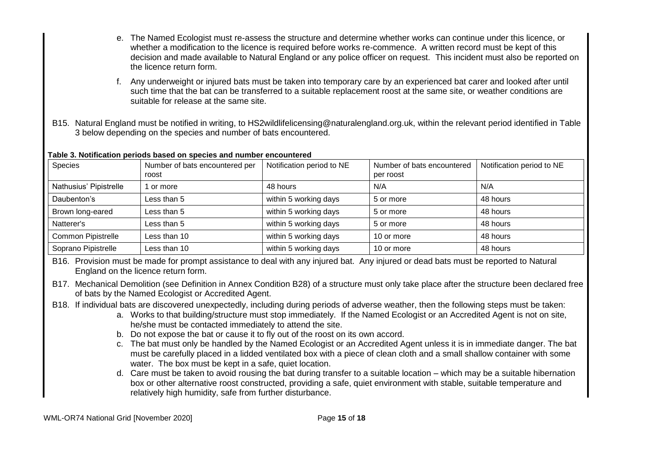- e. The Named Ecologist must re-assess the structure and determine whether works can continue under this licence, or whether a modification to the licence is required before works re-commence. A written record must be kept of this decision and made available to Natural England or any police officer on request. This incident must also be reported on the licence return form.
- f. Any underweight or injured bats must be taken into temporary care by an experienced bat carer and looked after until such time that the bat can be transferred to a suitable replacement roost at the same site, or weather conditions are suitable for release at the same site.
- B15. Natural England must be notified in writing, to HS2wildlifelicensing@naturalengland.org.uk, within the relevant period identified in Table 3 below depending on the species and number of bats encountered.

#### **Table 3. Notification periods based on species and number encountered**

| <b>Species</b>         | Number of bats encountered per<br>roost | Notification period to NE | Number of bats encountered<br>per roost | Notification period to NE |
|------------------------|-----------------------------------------|---------------------------|-----------------------------------------|---------------------------|
| Nathusius' Pipistrelle | or more                                 | 48 hours                  | N/A                                     | N/A                       |
| Daubenton's            | Less than 5                             | within 5 working days     | 5 or more                               | 48 hours                  |
| Brown long-eared       | Less than 5                             | within 5 working days     | 5 or more                               | 48 hours                  |
| Natterer's             | Less than 5                             | within 5 working days     | 5 or more                               | 48 hours                  |
| Common Pipistrelle     | Less than 10                            | within 5 working days     | 10 or more                              | 48 hours                  |
| Soprano Pipistrelle    | Less than 10                            | within 5 working days     | 10 or more                              | 48 hours                  |

B16. Provision must be made for prompt assistance to deal with any injured bat. Any injured or dead bats must be reported to Natural England on the licence return form.

- B17. Mechanical Demolition (see Definition in Annex Condition B28) of a structure must only take place after the structure been declared free of bats by the Named Ecologist or Accredited Agent.
- B18. If individual bats are discovered unexpectedly, including during periods of adverse weather, then the following steps must be taken:
	- a. Works to that building/structure must stop immediately. If the Named Ecologist or an Accredited Agent is not on site, he/she must be contacted immediately to attend the site.
	- b. Do not expose the bat or cause it to fly out of the roost on its own accord.
	- c. The bat must only be handled by the Named Ecologist or an Accredited Agent unless it is in immediate danger. The bat must be carefully placed in a lidded ventilated box with a piece of clean cloth and a small shallow container with some water. The box must be kept in a safe, quiet location.
	- d. Care must be taken to avoid rousing the bat during transfer to a suitable location which may be a suitable hibernation box or other alternative roost constructed, providing a safe, quiet environment with stable, suitable temperature and relatively high humidity, safe from further disturbance.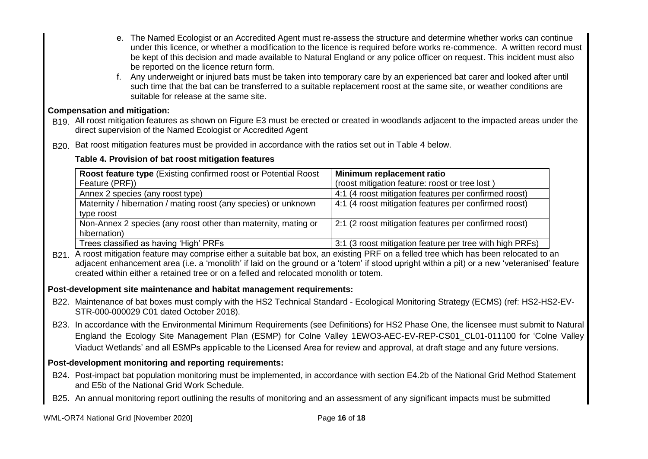- e. The Named Ecologist or an Accredited Agent must re-assess the structure and determine whether works can continue under this licence, or whether a modification to the licence is required before works re-commence. A written record must be kept of this decision and made available to Natural England or any police officer on request. This incident must also be reported on the licence return form.
- f. Any underweight or injured bats must be taken into temporary care by an experienced bat carer and looked after until such time that the bat can be transferred to a suitable replacement roost at the same site, or weather conditions are suitable for release at the same site.

## **Compensation and mitigation:**

- B19. All roost mitigation features as shown on Figure E3 must be erected or created in woodlands adjacent to the impacted areas under the direct supervision of the Named Ecologist or Accredited Agent
- B<sub>20</sub>. Bat roost mitigation features must be provided in accordance with the ratios set out in Table 4 below.

## **Table 4. Provision of bat roost mitigation features**

| <b>Roost feature type (Existing confirmed roost or Potential Roost)</b><br>Feature (PRF)) | Minimum replacement ratio<br>(roost mitigation feature: roost or tree lost) |
|-------------------------------------------------------------------------------------------|-----------------------------------------------------------------------------|
| Annex 2 species (any roost type)                                                          | 4:1 (4 roost mitigation features per confirmed roost)                       |
| Maternity / hibernation / mating roost (any species) or unknown                           | 4:1 (4 roost mitigation features per confirmed roost)                       |
| type roost                                                                                |                                                                             |
| Non-Annex 2 species (any roost other than maternity, mating or                            | 2:1 (2 roost mitigation features per confirmed roost)                       |
| hibernation)                                                                              |                                                                             |
| Trees classified as having 'High' PRFs                                                    | 3:1 (3 roost mitigation feature per tree with high PRFs)                    |

B<sub>21</sub>. A roost mitigation feature may comprise either a suitable bat box, an existing PRF on a felled tree which has been relocated to an adjacent enhancement area (i.e. a 'monolith' if laid on the ground or a 'totem' if stood upright within a pit) or a new 'veteranised' feature created within either a retained tree or on a felled and relocated monolith or totem.

## **Post-development site maintenance and habitat management requirements:**

- B22. Maintenance of bat boxes must comply with the HS2 Technical Standard Ecological Monitoring Strategy (ECMS) (ref: HS2-HS2-EV-STR-000-000029 C01 dated October 2018).
- B23. In accordance with the Environmental Minimum Requirements (see Definitions) for HS2 Phase One, the licensee must submit to Natural England the Ecology Site Management Plan (ESMP) for Colne Valley 1EWO3-AEC-EV-REP-CS01\_CL01-011100 for 'Colne Valley Viaduct Wetlands' and all ESMPs applicable to the Licensed Area for review and approval, at draft stage and any future versions.

## **Post-development monitoring and reporting requirements:**

- B24. Post-impact bat population monitoring must be implemented, in accordance with section E4.2b of the National Grid Method Statement and E5b of the National Grid Work Schedule.
- B25. An annual monitoring report outlining the results of monitoring and an assessment of any significant impacts must be submitted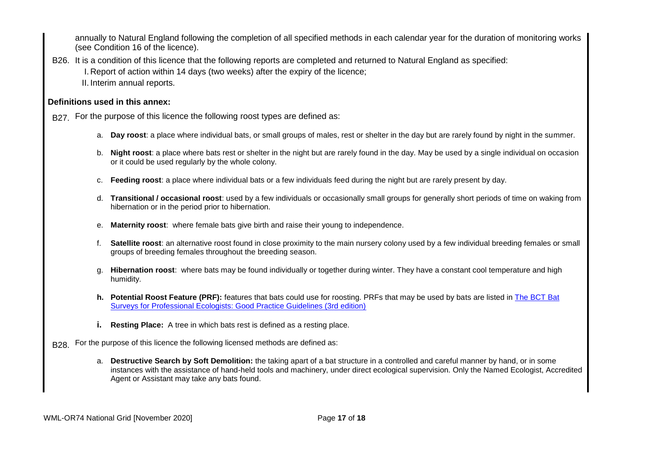annually to Natural England following the completion of all specified methods in each calendar year for the duration of monitoring works (see Condition 16 of the licence).

B26. It is a condition of this licence that the following reports are completed and returned to Natural England as specified: I. Report of action within 14 days (two weeks) after the expiry of the licence; II. Interim annual reports.

### **Definitions used in this annex:**

B27. For the purpose of this licence the following roost types are defined as:

- a. **Day roost**: a place where individual bats, or small groups of males, rest or shelter in the day but are rarely found by night in the summer.
- b. **Night roost**: a place where bats rest or shelter in the night but are rarely found in the day. May be used by a single individual on occasion or it could be used regularly by the whole colony.
- c. **Feeding roost**: a place where individual bats or a few individuals feed during the night but are rarely present by day.
- d. **Transitional / occasional roost**: used by a few individuals or occasionally small groups for generally short periods of time on waking from hibernation or in the period prior to hibernation.
- e. **Maternity roost**: where female bats give birth and raise their young to independence.
- f. **Satellite roost**: an alternative roost found in close proximity to the main nursery colony used by a few individual breeding females or small groups of breeding females throughout the breeding season.
- g. **Hibernation roost**: where bats may be found individually or together during winter. They have a constant cool temperature and high humidity.
- **h. Potential Roost Feature (PRF):** features that bats could use for roosting. PRFs that may be used by bats are listed in The BCT Bat Surveys for Professional Ecologists: Good Practice Guidelines (3rd edition)
- **i. Resting Place:** A tree in which bats rest is defined as a resting place.
- B<sub>28</sub>. For the purpose of this licence the following licensed methods are defined as:
	- a. **Destructive Search by Soft Demolition:** the taking apart of a bat structure in a controlled and careful manner by hand, or in some instances with the assistance of hand-held tools and machinery, under direct ecological supervision. Only the Named Ecologist, Accredited Agent or Assistant may take any bats found.